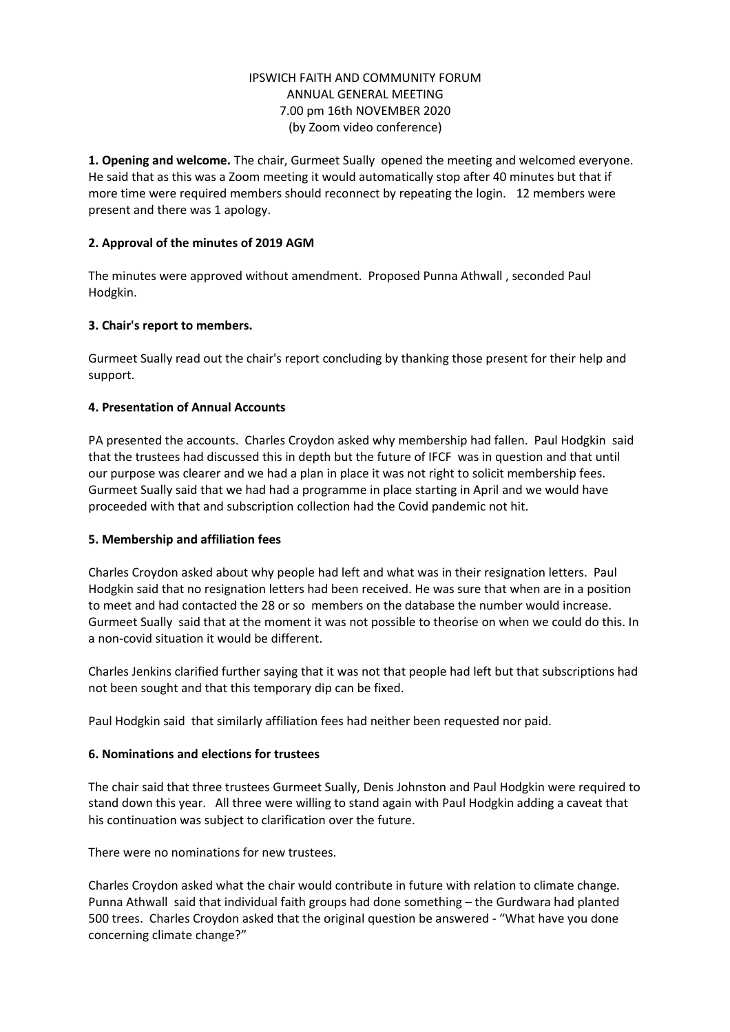#### IPSWICH FAITH AND COMMUNITY FORUM ANNUAL GENERAL MEETING 7.00 pm 16th NOVEMBER 2020 (by Zoom video conference)

**1. Opening and welcome.** The chair, Gurmeet Sually opened the meeting and welcomed everyone. He said that as this was a Zoom meeting it would automatically stop after 40 minutes but that if more time were required members should reconnect by repeating the login. 12 members were present and there was 1 apology.

### **2. Approval of the minutes of 2019 AGM**

The minutes were approved without amendment. Proposed Punna Athwall , seconded Paul Hodgkin.

# **3. Chair's report to members.**

Gurmeet Sually read out the chair's report concluding by thanking those present for their help and support.

# **4. Presentation of Annual Accounts**

PA presented the accounts. Charles Croydon asked why membership had fallen. Paul Hodgkin said that the trustees had discussed this in depth but the future of IFCF was in question and that until our purpose was clearer and we had a plan in place it was not right to solicit membership fees. Gurmeet Sually said that we had had a programme in place starting in April and we would have proceeded with that and subscription collection had the Covid pandemic not hit.

### **5. Membership and affiliation fees**

Charles Croydon asked about why people had left and what was in their resignation letters. Paul Hodgkin said that no resignation letters had been received. He was sure that when are in a position to meet and had contacted the 28 or so members on the database the number would increase. Gurmeet Sually said that at the moment it was not possible to theorise on when we could do this. In a non-covid situation it would be different.

Charles Jenkins clarified further saying that it was not that people had left but that subscriptions had not been sought and that this temporary dip can be fixed.

Paul Hodgkin said that similarly affiliation fees had neither been requested nor paid.

### **6. Nominations and elections for trustees**

The chair said that three trustees Gurmeet Sually, Denis Johnston and Paul Hodgkin were required to stand down this year. All three were willing to stand again with Paul Hodgkin adding a caveat that his continuation was subject to clarification over the future.

There were no nominations for new trustees.

Charles Croydon asked what the chair would contribute in future with relation to climate change. Punna Athwall said that individual faith groups had done something – the Gurdwara had planted 500 trees. Charles Croydon asked that the original question be answered - "What have you done concerning climate change?"